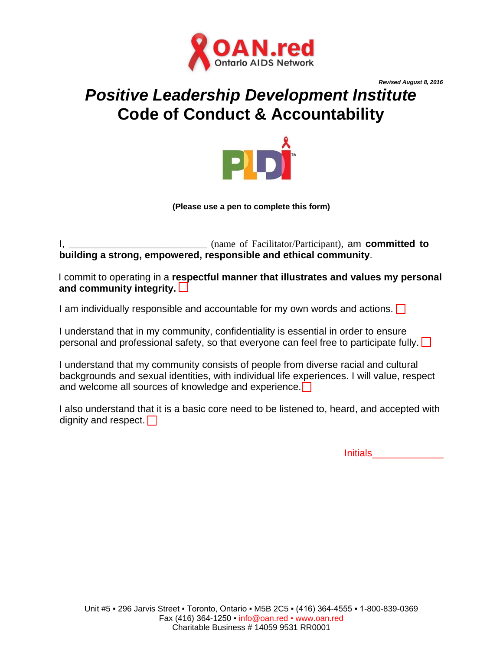

*Revised August 8, 2016*

## *Positive Leadership Development Institute* **Code of Conduct & Accountability**



**(Please use a pen to complete this form)**

I, \_\_\_\_\_\_\_\_\_\_\_\_\_\_\_\_\_\_\_\_\_\_\_\_\_\_\_\_ (name of Facilitator/Participant), am **committed to building a strong, empowered, responsible and ethical community**.

I commit to operating in a **respectful manner that illustrates and values my personal and community integrity.**

I am individually responsible and accountable for my own words and actions.  $\Box$ 

I understand that in my community, confidentiality is essential in order to ensure personal and professional safety, so that everyone can feel free to participate fully.  $\Box$ 

I understand that my community consists of people from diverse racial and cultural backgrounds and sexual identities, with individual life experiences. I will value, respect and welcome all sources of knowledge and experience.

I also understand that it is a basic core need to be listened to, heard, and accepted with dignity and respect.  $\Box$ 

Initials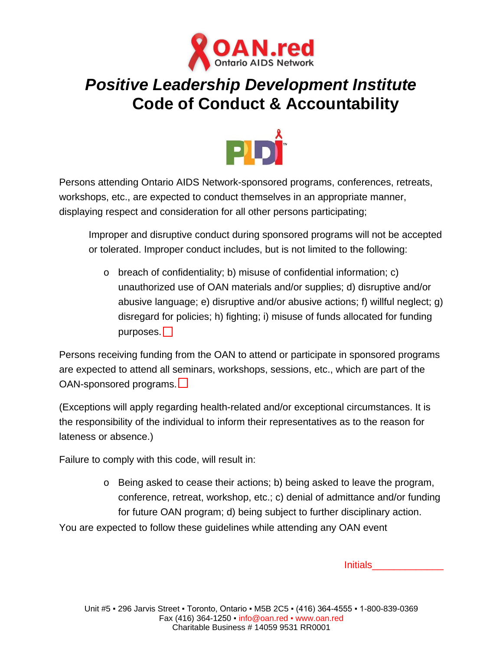

## *Positive Leadership Development Institute* **Code of Conduct & Accountability**



Persons attending Ontario AIDS Network-sponsored programs, conferences, retreats, workshops, etc., are expected to conduct themselves in an appropriate manner, displaying respect and consideration for all other persons participating;

Improper and disruptive conduct during sponsored programs will not be accepted or tolerated. Improper conduct includes, but is not limited to the following:

o breach of confidentiality; b) misuse of confidential information; c) unauthorized use of OAN materials and/or supplies; d) disruptive and/or abusive language; e) disruptive and/or abusive actions; f) willful neglect; g) disregard for policies; h) fighting; i) misuse of funds allocated for funding purposes.  $\Box$ 

Persons receiving funding from the OAN to attend or participate in sponsored programs are expected to attend all seminars, workshops, sessions, etc., which are part of the OAN-sponsored programs.

(Exceptions will apply regarding health-related and/or exceptional circumstances. It is the responsibility of the individual to inform their representatives as to the reason for lateness or absence.)

Failure to comply with this code, will result in:

o Being asked to cease their actions; b) being asked to leave the program, conference, retreat, workshop, etc.; c) denial of admittance and/or funding for future OAN program; d) being subject to further disciplinary action.

You are expected to follow these guidelines while attending any OAN event

Initials\_\_\_\_\_\_\_\_\_\_\_\_\_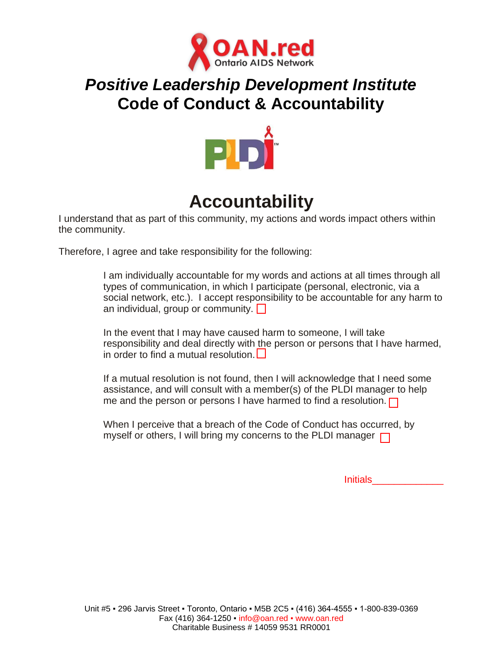

## *Positive Leadership Development Institute* **Code of Conduct & Accountability**



# **Accountability**

I understand that as part of this community, my actions and words impact others within the community.

Therefore, I agree and take responsibility for the following:

I am individually accountable for my words and actions at all times through all types of communication, in which I participate (personal, electronic, via a social network, etc.). I accept responsibility to be accountable for any harm to an individual, group or community.  $\Box$ 

In the event that I may have caused harm to someone, I will take responsibility and deal directly with the person or persons that I have harmed, in order to find a mutual resolution.

If a mutual resolution is not found, then I will acknowledge that I need some assistance, and will consult with a member(s) of the PLDI manager to help me and the person or persons I have harmed to find a resolution.  $\Box$ 

When I perceive that a breach of the Code of Conduct has occurred, by myself or others, I will bring my concerns to the PLDI manager  $\Box$ 

Initials\_\_\_\_\_\_\_\_\_\_\_\_\_